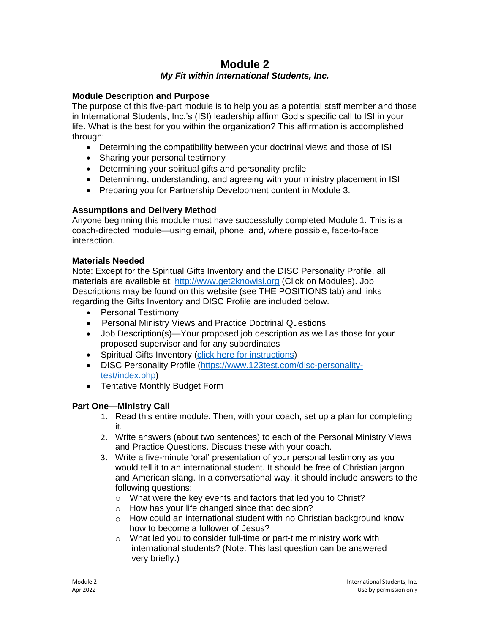# **Module 2**

# *My Fit within International Students, Inc.*

## **Module Description and Purpose**

The purpose of this five-part module is to help you as a potential staff member and those in International Students, Inc.'s (ISI) leadership affirm God's specific call to ISI in your life. What is the best for you within the organization? This affirmation is accomplished through:

- Determining the compatibility between your doctrinal views and those of ISI
- Sharing your personal testimony
- Determining your spiritual gifts and personality profile
- Determining, understanding, and agreeing with your ministry placement in ISI
- Preparing you for Partnership Development content in Module 3.

## **Assumptions and Delivery Method**

Anyone beginning this module must have successfully completed Module 1. This is a coach-directed module—using email, phone, and, where possible, face-to-face interaction.

## **Materials Needed**

Note: Except for the Spiritual Gifts Inventory and the DISC Personality Profile, all materials are available at: [http://www.get2knowisi.org](http://www.get2knowisi.org/) (Click on Modules). Job Descriptions may be found on this website (see THE POSITIONS tab) and links regarding the Gifts Inventory and DISC Profile are included below.

- Personal Testimony
- Personal Ministry Views and Practice Doctrinal Questions
- Job Description(s)—Your proposed job description as well as those for your proposed supervisor and for any subordinates
- Spiritual Gifts Inventory [\(click here for instructions\)](http://www.get2knowisi.org/uploads/4/2/1/7/42173917/spiritual_gifts_inventory_instructions_2017__3_.pdf)
- DISC Personality Profile [\(https://www.123test.com/disc-personality](https://www.123test.com/disc-personality-test/index.php)[test/index.php\)](https://www.123test.com/disc-personality-test/index.php)
- Tentative Monthly Budget Form

## **Part One—Ministry Call**

- 1. Read this entire module. Then, with your coach, set up a plan for completing it.
- 2. Write answers (about two sentences) to each of the Personal Ministry Views and Practice Questions. Discuss these with your coach.
- 3. Write a five-minute 'oral' presentation of your personal testimony as you would tell it to an international student. It should be free of Christian jargon and American slang. In a conversational way, it should include answers to the following questions:
	- o What were the key events and factors that led you to Christ?
	- o How has your life changed since that decision?
	- $\circ$  How could an international student with no Christian background know how to become a follower of Jesus?
	- o What led you to consider full-time or part-time ministry work with international students? (Note: This last question can be answered very briefly.)